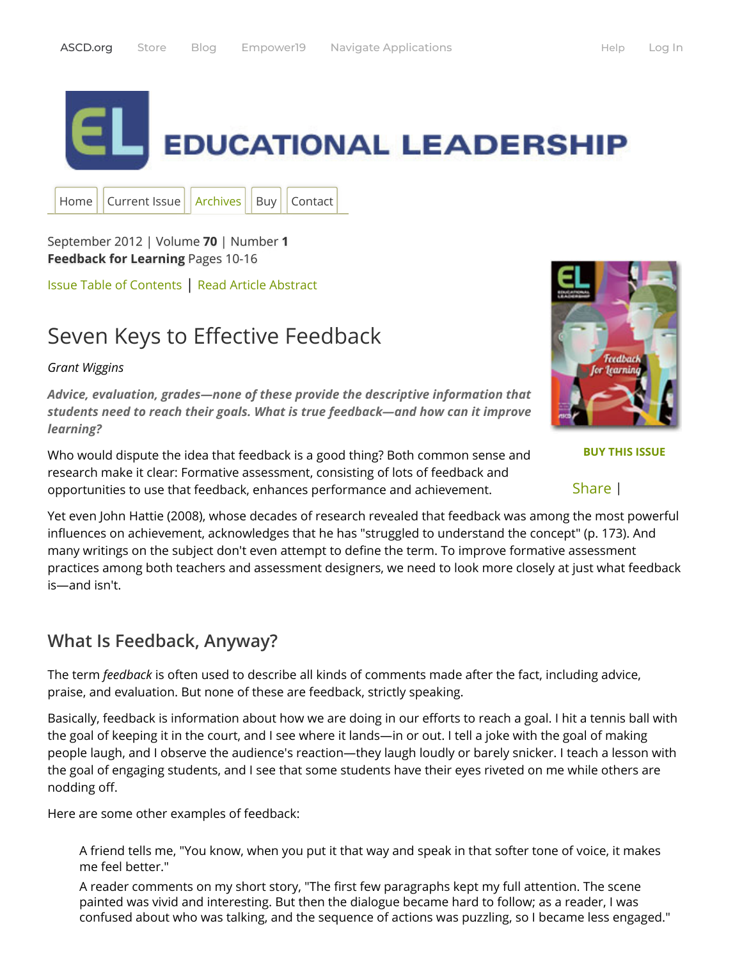

[Home](http://www.ascd.org/publications/educational_leadership.aspx) | [Current](http://www.ascd.org/publications/educational_leadership/current_issue.aspx) Issue | [Archives](http://www.ascd.org/publications/educational_leadership/archived_issues.aspx) | [Buy](http://shop.ascd.org/PERIODICALS/ASCDproductlistingEL.aspx) | [Contact](http://www.ascd.org/Publications/Educational_Leadership/Contact_the_Staff.aspx)

September 2012 | Volume **70** | Number **1 Feedback for Learning** Pages 10-16

Issue Table of [Contents](http://www.ascd.org/publications/educational_leadership/sept12/vol70/num01/toc.aspx) | [Read Article](http://www.ascd.org/publications/educational_leadership/sept12/vol70/num01/abstract.aspx#Seven_Keys_to_Effective_Feedback) Abstract

# Seven Keys to Effective Feedback

#### *Grant Wiggins*

*Advice, evaluation, grades—none of these provide the descriptive information that students need to reach their goals. What is true feedback—and how can it improve learning?*

Who would dispute the idea that feedback is a good thing? Both common sense and research make it clear: Formative assessment, consisting of lots of feedback and opportunities to use that feedback, enhances performance and achievement.



**[BUY THIS ISSUE](http://shop.ascd.org/?ProductCode=113032)**

Share I

Yet even John Hattie (2008), whose decades of research revealed that feedback was among the most powerful influences on achievement, acknowledges that he has "struggled to understand the concept" (p. 173). And many writings on the subject don't even attempt to define the term. To improve formative assessment practices among both teachers and assessment designers, we need to look more closely at just what feedback is—and isn't.

## **What Is Feedback, Anyway?**

The term *feedback* is often used to describe all kinds of comments made after the fact, including advice, praise, and evaluation. But none of these are feedback, strictly speaking.

Basically, feedback is information about how we are doing in our efforts to reach a goal. I hit a tennis ball with the goal of keeping it in the court, and I see where it lands—in or out. I tell a joke with the goal of making people laugh, and I observe the audience's reaction—they laugh loudly or barely snicker. I teach a lesson with the goal of engaging students, and I see that some students have their eyes riveted on me while others are nodding off.

Here are some other examples of feedback:

A friend tells me, "You know, when you put it that way and speak in that softer tone of voice, it makes me feel better."

A reader comments on my short story, "The first few paragraphs kept my full attention. The scene painted was vivid and interesting. But then the dialogue became hard to follow; as a reader, I was confused about who was talking, and the sequence of actions was puzzling, so I became less engaged."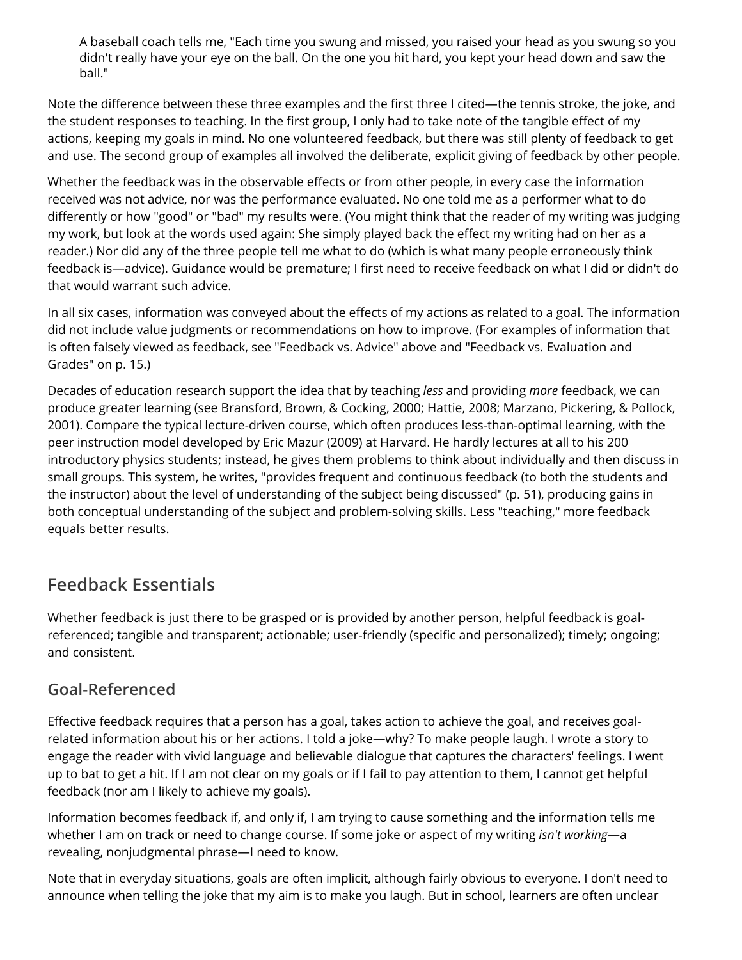A baseball coach tells me, "Each time you swung and missed, you raised your head as you swung so you didn't really have your eye on the ball. On the one you hit hard, you kept your head down and saw the ball."

Note the difference between these three examples and the first three I cited—the tennis stroke, the joke, and the student responses to teaching. In the first group, I only had to take note of the tangible effect of my actions, keeping my goals in mind. No one volunteered feedback, but there was still plenty of feedback to get and use. The second group of examples all involved the deliberate, explicit giving of feedback by other people.

Whether the feedback was in the observable effects or from other people, in every case the information received was not advice, nor was the performance evaluated. No one told me as a performer what to do differently or how "good" or "bad" my results were. (You might think that the reader of my writing was judging my work, but look at the words used again: She simply played back the effect my writing had on her as a reader.) Nor did any of the three people tell me what to do (which is what many people erroneously think feedback is—advice). Guidance would be premature; I first need to receive feedback on what I did or didn't do that would warrant such advice.

In all six cases, information was conveyed about the effects of my actions as related to a goal. The information did not include value judgments or recommendations on how to improve. (For examples of information that is often falsely viewed as feedback, see "Feedback vs. Advice" above and "Feedback vs. Evaluation and Grades" on p. 15.)

Decades of education research support the idea that by teaching *less* and providing *more* feedback, we can produce greater learning (see Bransford, Brown, & Cocking, 2000; Hattie, 2008; Marzano, Pickering, & Pollock, 2001). Compare the typical lecture-driven course, which often produces less-than-optimal learning, with the peer instruction model developed by Eric Mazur (2009) at Harvard. He hardly lectures at all to his 200 introductory physics students; instead, he gives them problems to think about individually and then discuss in small groups. This system, he writes, "provides frequent and continuous feedback (to both the students and the instructor) about the level of understanding of the subject being discussed" (p. 51), producing gains in both conceptual understanding of the subject and problem-solving skills. Less "teaching," more feedback equals better results.

## **Feedback Essentials**

Whether feedback is just there to be grasped or is provided by another person, helpful feedback is goalreferenced; tangible and transparent; actionable; user-friendly (specific and personalized); timely; ongoing; and consistent.

## **Goal-Referenced**

Effective feedback requires that a person has a goal, takes action to achieve the goal, and receives goalrelated information about his or her actions. I told a joke—why? To make people laugh. I wrote a story to engage the reader with vivid language and believable dialogue that captures the characters' feelings. I went up to bat to get a hit. If I am not clear on my goals or if I fail to pay attention to them, I cannot get helpful feedback (nor am I likely to achieve my goals).

Information becomes feedback if, and only if, I am trying to cause something and the information tells me whether I am on track or need to change course. If some joke or aspect of my writing *isn't working*—a revealing, nonjudgmental phrase—I need to know.

Note that in everyday situations, goals are often implicit, although fairly obvious to everyone. I don't need to announce when telling the joke that my aim is to make you laugh. But in school, learners are often unclear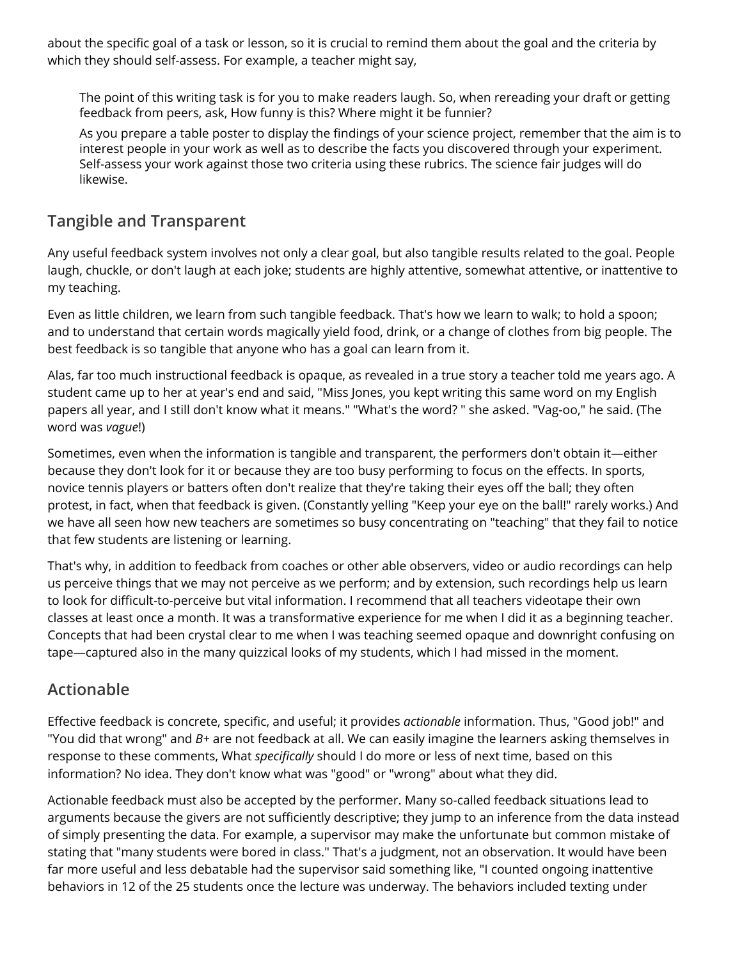about the specific goal of a task or lesson, so it is crucial to remind them about the goal and the criteria by which they should self-assess. For example, a teacher might say,

The point of this writing task is for you to make readers laugh. So, when rereading your draft or getting feedback from peers, ask, How funny is this? Where might it be funnier?

As you prepare a table poster to display the findings of your science project, remember that the aim is to interest people in your work as well as to describe the facts you discovered through your experiment. Self-assess your work against those two criteria using these rubrics. The science fair judges will do likewise.

#### **Tangible and Transparent**

Any useful feedback system involves not only a clear goal, but also tangible results related to the goal. People laugh, chuckle, or don't laugh at each joke; students are highly attentive, somewhat attentive, or inattentive to my teaching.

Even as little children, we learn from such tangible feedback. That's how we learn to walk; to hold a spoon; and to understand that certain words magically yield food, drink, or a change of clothes from big people. The best feedback is so tangible that anyone who has a goal can learn from it.

Alas, far too much instructional feedback is opaque, as revealed in a true story a teacher told me years ago. A student came up to her at year's end and said, "Miss Jones, you kept writing this same word on my English papers all year, and I still don't know what it means." "What's the word? " she asked. "Vag-oo," he said. (The word was *vague*!)

Sometimes, even when the information is tangible and transparent, the performers don't obtain it—either because they don't look for it or because they are too busy performing to focus on the effects. In sports, novice tennis players or batters often don't realize that they're taking their eyes off the ball; they often protest, in fact, when that feedback is given. (Constantly yelling "Keep your eye on the ball!" rarely works.) And we have all seen how new teachers are sometimes so busy concentrating on "teaching" that they fail to notice that few students are listening or learning.

That's why, in addition to feedback from coaches or other able observers, video or audio recordings can help us perceive things that we may not perceive as we perform; and by extension, such recordings help us learn to look for difficult-to-perceive but vital information. I recommend that all teachers videotape their own classes at least once a month. It was a transformative experience for me when I did it as a beginning teacher. Concepts that had been crystal clear to me when I was teaching seemed opaque and downright confusing on tape—captured also in the many quizzical looks of my students, which I had missed in the moment.

#### **Actionable**

Effective feedback is concrete, specific, and useful; it provides *actionable* information. Thus, "Good job!" and "You did that wrong" and *B+* are not feedback at all. We can easily imagine the learners asking themselves in response to these comments, What *specifically* should I do more or less of next time, based on this information? No idea. They don't know what was "good" or "wrong" about what they did.

Actionable feedback must also be accepted by the performer. Many so-called feedback situations lead to arguments because the givers are not sufficiently descriptive; they jump to an inference from the data instead of simply presenting the data. For example, a supervisor may make the unfortunate but common mistake of stating that "many students were bored in class." That's a judgment, not an observation. It would have been far more useful and less debatable had the supervisor said something like, "I counted ongoing inattentive behaviors in 12 of the 25 students once the lecture was underway. The behaviors included texting under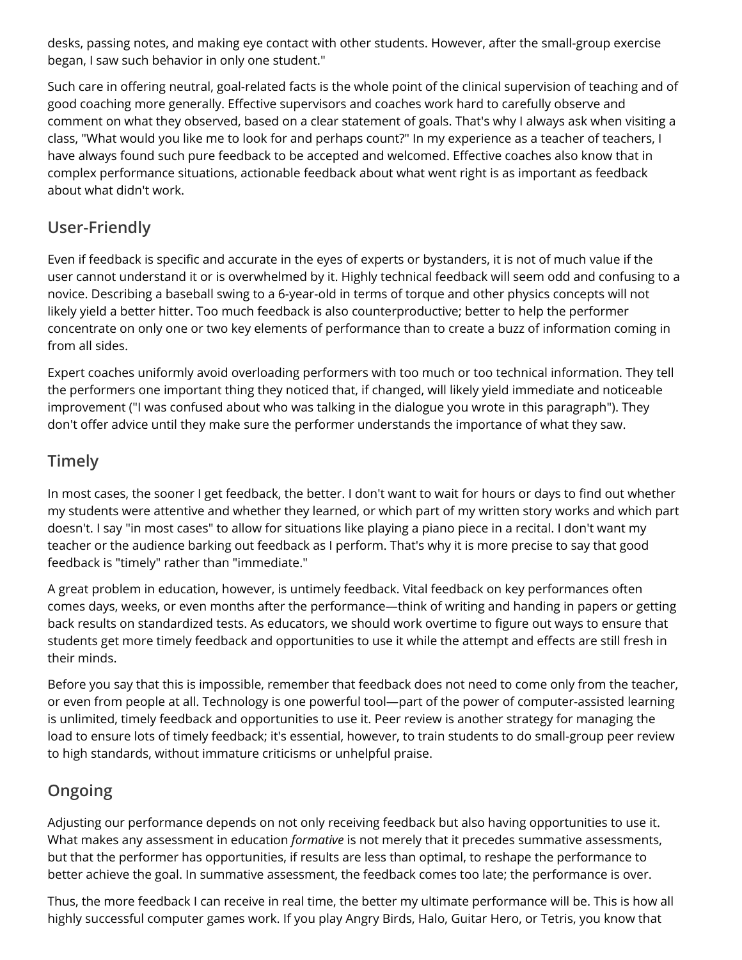desks, passing notes, and making eye contact with other students. However, after the small-group exercise began, I saw such behavior in only one student."

Such care in offering neutral, goal-related facts is the whole point of the clinical supervision of teaching and of good coaching more generally. Effective supervisors and coaches work hard to carefully observe and comment on what they observed, based on a clear statement of goals. That's why I always ask when visiting a class, "What would you like me to look for and perhaps count?" In my experience as a teacher of teachers, I have always found such pure feedback to be accepted and welcomed. Effective coaches also know that in complex performance situations, actionable feedback about what went right is as important as feedback about what didn't work.

## **User-Friendly**

Even if feedback is specific and accurate in the eyes of experts or bystanders, it is not of much value if the user cannot understand it or is overwhelmed by it. Highly technical feedback will seem odd and confusing to a novice. Describing a baseball swing to a 6-year-old in terms of torque and other physics concepts will not likely yield a better hitter. Too much feedback is also counterproductive; better to help the performer concentrate on only one or two key elements of performance than to create a buzz of information coming in from all sides.

Expert coaches uniformly avoid overloading performers with too much or too technical information. They tell the performers one important thing they noticed that, if changed, will likely yield immediate and noticeable improvement ("I was confused about who was talking in the dialogue you wrote in this paragraph"). They don't offer advice until they make sure the performer understands the importance of what they saw.

## **Timely**

In most cases, the sooner I get feedback, the better. I don't want to wait for hours or days to find out whether my students were attentive and whether they learned, or which part of my written story works and which part doesn't. I say "in most cases" to allow for situations like playing a piano piece in a recital. I don't want my teacher or the audience barking out feedback as I perform. That's why it is more precise to say that good feedback is "timely" rather than "immediate."

A great problem in education, however, is untimely feedback. Vital feedback on key performances often comes days, weeks, or even months after the performance—think of writing and handing in papers or getting back results on standardized tests. As educators, we should work overtime to figure out ways to ensure that students get more timely feedback and opportunities to use it while the attempt and effects are still fresh in their minds.

Before you say that this is impossible, remember that feedback does not need to come only from the teacher, or even from people at all. Technology is one powerful tool—part of the power of computer-assisted learning is unlimited, timely feedback and opportunities to use it. Peer review is another strategy for managing the load to ensure lots of timely feedback; it's essential, however, to train students to do small-group peer review to high standards, without immature criticisms or unhelpful praise.

#### **Ongoing**

Adjusting our performance depends on not only receiving feedback but also having opportunities to use it. What makes any assessment in education *formative* is not merely that it precedes summative assessments, but that the performer has opportunities, if results are less than optimal, to reshape the performance to better achieve the goal. In summative assessment, the feedback comes too late; the performance is over.

Thus, the more feedback I can receive in real time, the better my ultimate performance will be. This is how all highly successful computer games work. If you play Angry Birds, Halo, Guitar Hero, or Tetris, you know that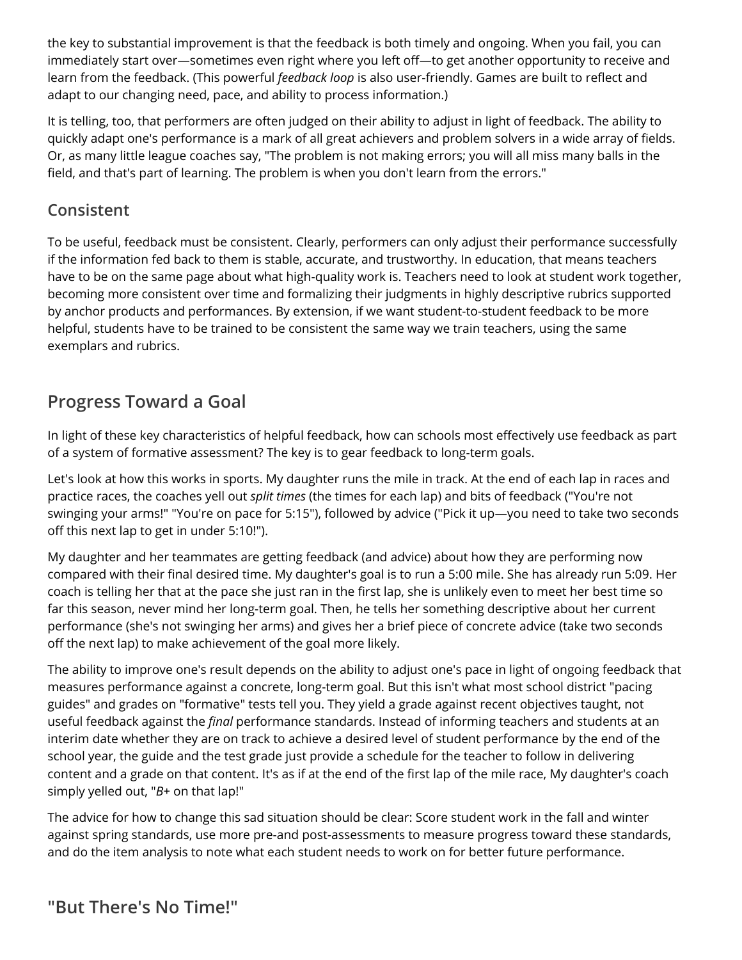the key to substantial improvement is that the feedback is both timely and ongoing. When you fail, you can immediately start over—sometimes even right where you left off—to get another opportunity to receive and learn from the feedback. (This powerful *feedback loop* is also user-friendly. Games are built to reflect and adapt to our changing need, pace, and ability to process information.)

It is telling, too, that performers are often judged on their ability to adjust in light of feedback. The ability to quickly adapt one's performance is a mark of all great achievers and problem solvers in a wide array of fields. Or, as many little league coaches say, "The problem is not making errors; you will all miss many balls in the field, and that's part of learning. The problem is when you don't learn from the errors."

#### **Consistent**

To be useful, feedback must be consistent. Clearly, performers can only adjust their performance successfully if the information fed back to them is stable, accurate, and trustworthy. In education, that means teachers have to be on the same page about what high-quality work is. Teachers need to look at student work together, becoming more consistent over time and formalizing their judgments in highly descriptive rubrics supported by anchor products and performances. By extension, if we want student-to-student feedback to be more helpful, students have to be trained to be consistent the same way we train teachers, using the same exemplars and rubrics.

## **Progress Toward a Goal**

In light of these key characteristics of helpful feedback, how can schools most effectively use feedback as part of a system of formative assessment? The key is to gear feedback to long-term goals.

Let's look at how this works in sports. My daughter runs the mile in track. At the end of each lap in races and practice races, the coaches yell out *split times* (the times for each lap) and bits of feedback ("You're not swinging your arms!" "You're on pace for 5:15"), followed by advice ("Pick it up—you need to take two seconds off this next lap to get in under 5:10!").

My daughter and her teammates are getting feedback (and advice) about how they are performing now compared with their final desired time. My daughter's goal is to run a 5:00 mile. She has already run 5:09. Her coach is telling her that at the pace she just ran in the first lap, she is unlikely even to meet her best time so far this season, never mind her long-term goal. Then, he tells her something descriptive about her current performance (she's not swinging her arms) and gives her a brief piece of concrete advice (take two seconds off the next lap) to make achievement of the goal more likely.

The ability to improve one's result depends on the ability to adjust one's pace in light of ongoing feedback that measures performance against a concrete, long-term goal. But this isn't what most school district "pacing guides" and grades on "formative" tests tell you. They yield a grade against recent objectives taught, not useful feedback against the *final* performance standards. Instead of informing teachers and students at an interim date whether they are on track to achieve a desired level of student performance by the end of the school year, the guide and the test grade just provide a schedule for the teacher to follow in delivering content and a grade on that content. It's as if at the end of the first lap of the mile race, My daughter's coach simply yelled out, "*B+* on that lap!"

The advice for how to change this sad situation should be clear: Score student work in the fall and winter against spring standards, use more pre-and post-assessments to measure progress toward these standards, and do the item analysis to note what each student needs to work on for better future performance.

## **"But There's No Time!"**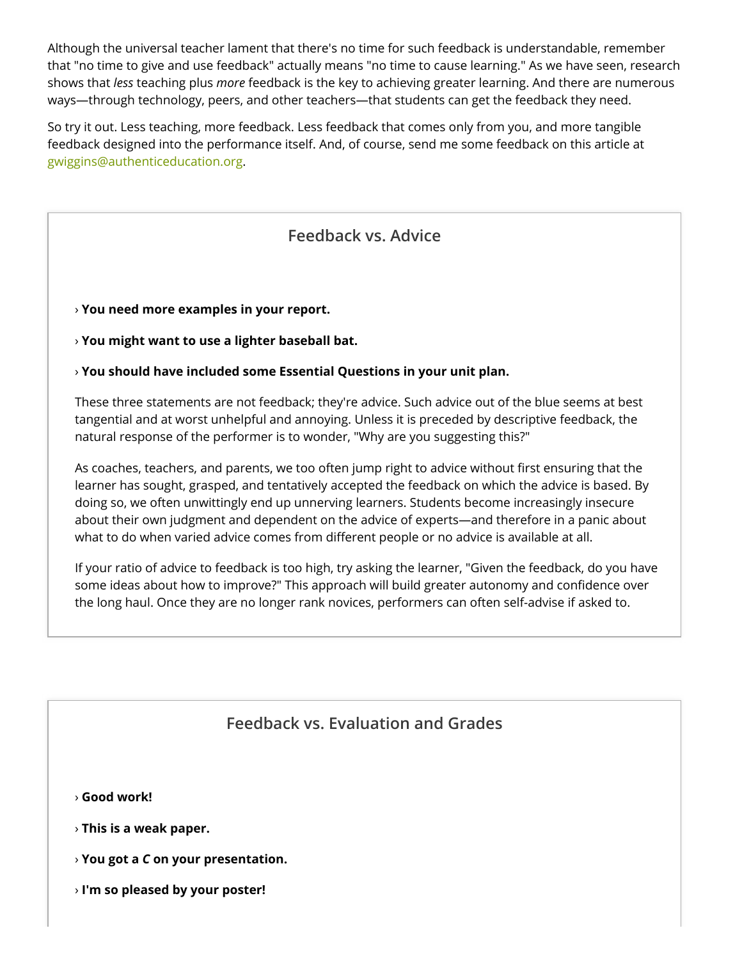Although the universal teacher lament that there's no time for such feedback is understandable, remember that "no time to give and use feedback" actually means "no time to cause learning." As we have seen, research shows that *less* teaching plus *more* feedback is the key to achieving greater learning. And there are numerous ways—through technology, peers, and other teachers—that students can get the feedback they need.

So try it out. Less teaching, more feedback. Less feedback that comes only from you, and more tangible feedback designed into the performance itself. And, of course, send me some feedback on this article at [gwiggins@authenticeducation.org.](mailto:gwiggins@authenticeducation.org)

#### **Feedback vs. Advice**

#### › **You need more examples in your report.**

› **You might want to use a lighter baseball bat.**

#### › **You should have included some Essential Questions in your unit plan.**

These three statements are not feedback; they're advice. Such advice out of the blue seems at best tangential and at worst unhelpful and annoying. Unless it is preceded by descriptive feedback, the natural response of the performer is to wonder, "Why are you suggesting this?"

As coaches, teachers, and parents, we too often jump right to advice without first ensuring that the learner has sought, grasped, and tentatively accepted the feedback on which the advice is based. By doing so, we often unwittingly end up unnerving learners. Students become increasingly insecure about their own judgment and dependent on the advice of experts—and therefore in a panic about what to do when varied advice comes from different people or no advice is available at all.

If your ratio of advice to feedback is too high, try asking the learner, "Given the feedback, do you have some ideas about how to improve?" This approach will build greater autonomy and confidence over the long haul. Once they are no longer rank novices, performers can often self-advise if asked to.

#### **Feedback vs. Evaluation and Grades**

- › **Good work!**
- › **This is a weak paper.**
- › **You got a** *C* **on your presentation.**
- › **I'm so pleased by your poster!**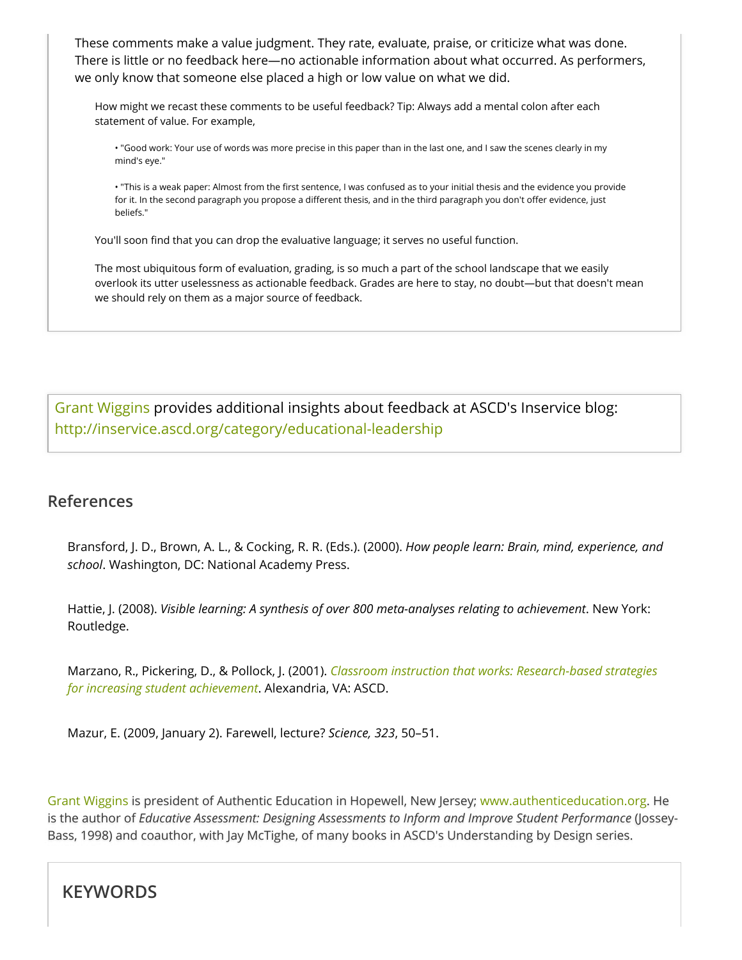These comments make a value judgment. They rate, evaluate, praise, or criticize what was done. There is little or no feedback here—no actionable information about what occurred. As performers, we only know that someone else placed a high or low value on what we did.

How might we recast these comments to be useful feedback? Tip: Always add a mental colon after each statement of value. For example,

• "Good work: Your use of words was more precise in this paper than in the last one, and I saw the scenes clearly in my mind's eye."

• "This is a weak paper: Almost from the first sentence, I was confused as to your initial thesis and the evidence you provide for it. In the second paragraph you propose a different thesis, and in the third paragraph you don't offer evidence, just beliefs."

You'll soon find that you can drop the evaluative language; it serves no useful function.

The most ubiquitous form of evaluation, grading, is so much a part of the school landscape that we easily overlook its utter uselessness as actionable feedback. Grades are here to stay, no doubt—but that doesn't mean we should rely on them as a major source of feedback.

[Grant Wiggins](http://www.ascd.org/publications/educational-leadership/sept12/vol70/num01/www.ascd.org/Publications/Authors/Grant-Wiggins.aspx) provides additional insights about feedback at ASCD's Inservice blog: [http://inservice.ascd.org/category/educational-leadership](http://inservice.ascd.org/category/educational-%20leadership)

#### **References**

Bransford, J. D., Brown, A. L., & Cocking, R. R. (Eds.). (2000). *How people learn: Brain, mind, experience, and school*. Washington, DC: National Academy Press.

Hattie, J. (2008). *Visible learning: A synthesis of over 800 meta-analyses relating to achievement*. New York: Routledge.

Marzano, R., Pickering, D., & Pollock, J. (2001). *Classroom instruction that works: [Research-based](http://www.ascd.org/publications/books/111001.aspx) strategies for increasing student achievement*. Alexandria, VA: ASCD.

Mazur, E. (2009, January 2). Farewell, lecture? *Science, 323*, 50–51.

Grant [Wiggins](mailto:gwiggins@authenticeducation.org) is president of Authentic Education in Hopewell, New Jersey; [www.authenticeducation.org.](http://www.authenticeducation.org/) He is the author of *Educative Assessment: Designing Assessments to Inform and Improve Student Performance* (Jossey-Bass, 1998) and coauthor, with Jay McTighe, of many books in ASCD's Understanding by Design series.

#### **KEYWORDS**